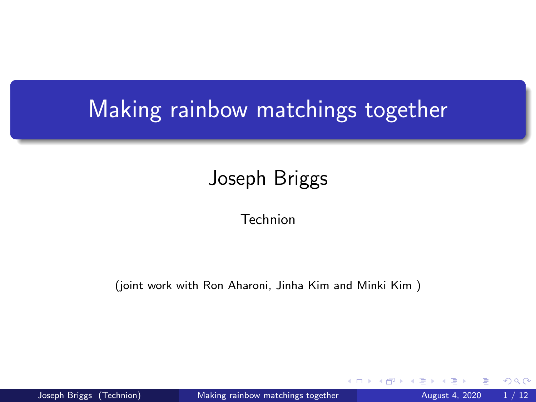# <span id="page-0-0"></span>Making rainbow matchings together

## Joseph Briggs

Technion

(joint work with Ron Aharoni, Jinha Kim and Minki Kim )

Joseph Briggs (Technion) [Making rainbow matchings together](#page-11-0) August 4, 2020 1/12

4 0 8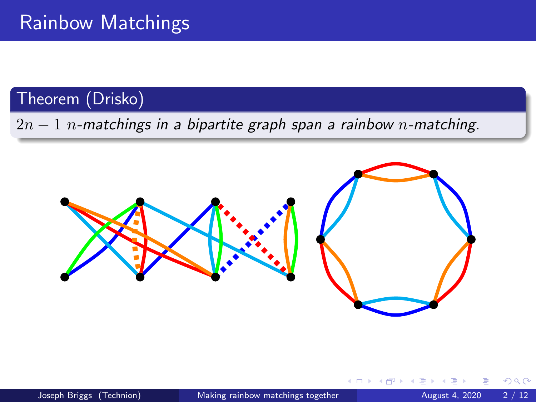### Theorem (Drisko)

 $2n-1$  n-matchings in a bipartite graph span a rainbow n-matching.



4 **D**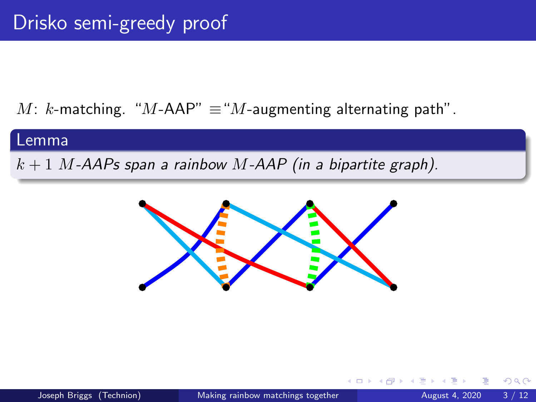M: k-matching. "M-AAP"  $\equiv$  "M-augmenting alternating path".

#### Lemma

 $k + 1$  M-AAPs span a rainbow M-AAP (in a bipartite graph).

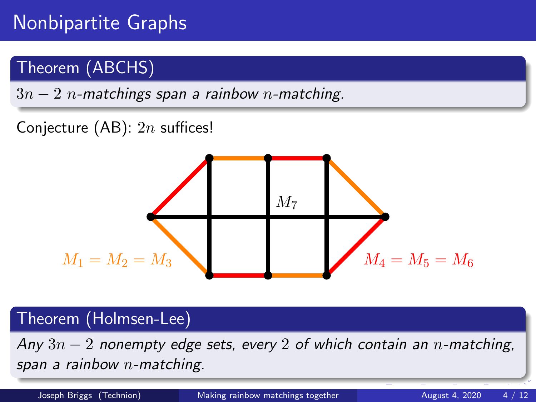## Nonbipartite Graphs

### Theorem (ABCHS)

 $3n - 2$  n-matchings span a rainbow n-matching.

### Conjecture (AB):  $2n$  suffices!



#### Theorem (Holmsen-Lee)

Any  $3n-2$  nonempty edge sets, every 2 of which contain an n-matching, span a rainbow  $n$ -matching.

Joseph Briggs (Technion) [Making rainbow matchings together](#page-0-0) August 4, 2020 4 / 12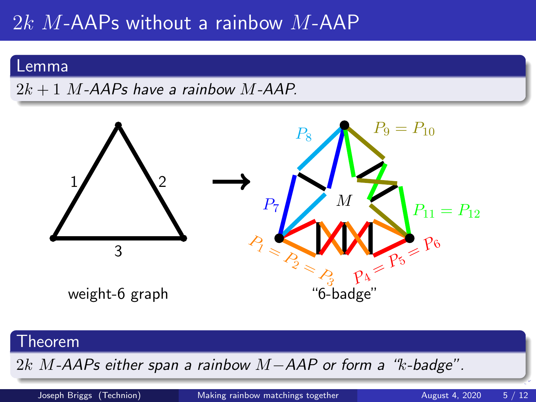## $2k$  M-AAPs without a rainbow M-AAP

#### Lemma

 $2k + 1$  M-AAPs have a rainbow M-AAP.



#### Theorem

2k M-AAPs either span a rainbow M-AAP or form a "k-badge".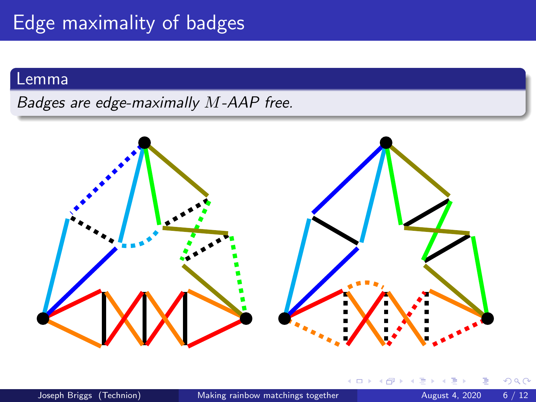#### Lemma

Badges are edge-maximally M-AAP free.



←□

 $\Omega$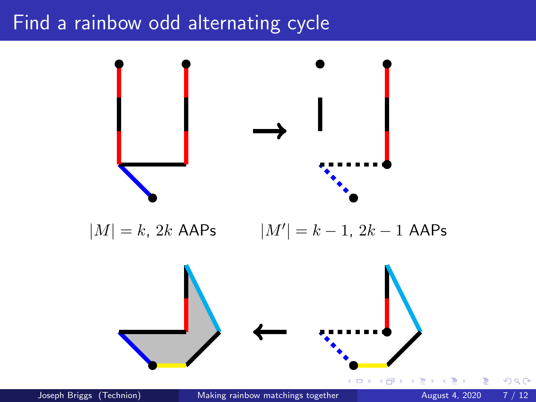### Find a rainbow odd alternating cycle



 $|M| = k$ , 2k AAPs  $|M'| = k - 1$ , 2k - 1 AAPs



Joseph Briggs (Technion) [Making rainbow matchings together](#page-0-0) August 4, 2020 7 / 12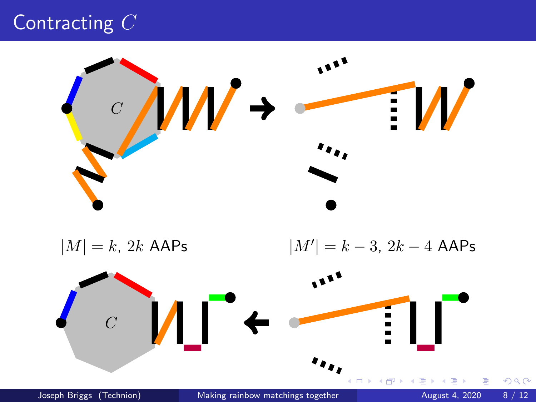## Contracting C



 $|M| = k$ , 2k AAPs  $|M'| = k - 3$ ,  $2k - 4$  AAPs

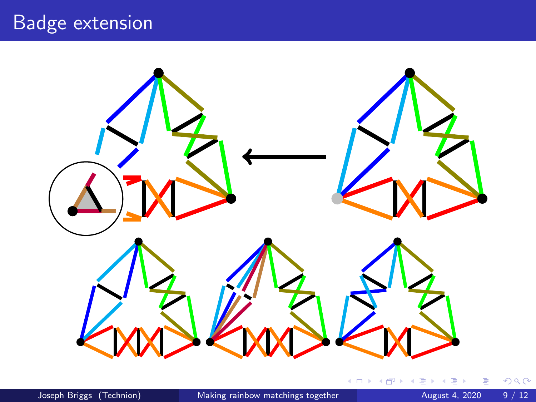## Badge extension



 $\triangleleft$  $\Rightarrow$ ×

重

 $299$ 

**K ロ ト K 伊 ト K 毛**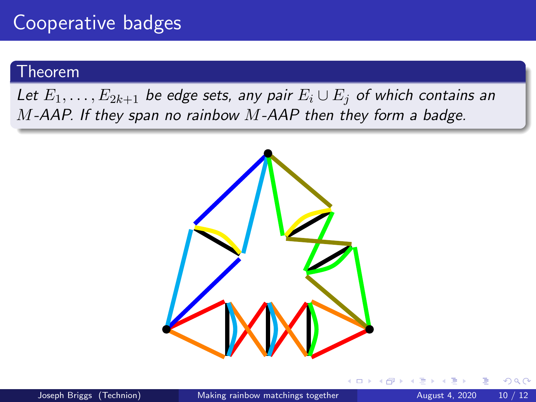#### Theorem

Let  $E_1, \ldots, E_{2k+1}$  be edge sets, any pair  $E_i \cup E_j$  of which contains an  $M$ -AAP. If they span no rainbow  $M$ -AAP then they form a badge.



 $\Omega$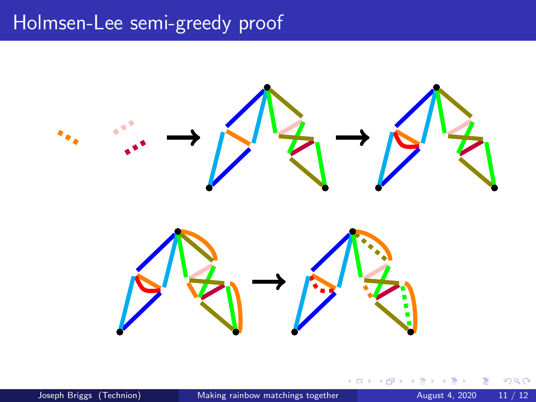## Holmsen-Lee semi-greedy proof



4日下

 $\rightarrow$ 

≡

Þ